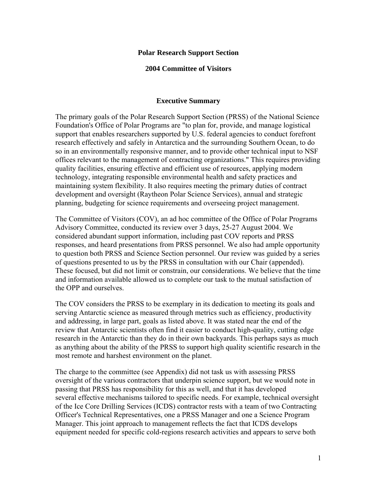#### **Polar Research Support Section**

#### **2004 Committee of Visitors**

#### **Executive Summary**

The primary goals of the Polar Research Support Section (PRSS) of the National Science Foundation's Office of Polar Programs are "to plan for, provide, and manage logistical support that enables researchers supported by U.S. federal agencies to conduct forefront research effectively and safely in Antarctica and the surrounding Southern Ocean, to do so in an environmentally responsive manner, and to provide other technical input to NSF offices relevant to the management of contracting organizations." This requires providing quality facilities, ensuring effective and efficient use of resources, applying modern technology, integrating responsible environmental health and safety practices and maintaining system flexibility. It also requires meeting the primary duties of contract development and oversight (Raytheon Polar Science Services), annual and strategic planning, budgeting for science requirements and overseeing project management.

The Committee of Visitors (COV), an ad hoc committee of the Office of Polar Programs Advisory Committee, conducted its review over 3 days, 25-27 August 2004. We considered abundant support information, including past COV reports and PRSS responses, and heard presentations from PRSS personnel. We also had ample opportunity to question both PRSS and Science Section personnel. Our review was guided by a series of questions presented to us by the PRSS in consultation with our Chair (appended). These focused, but did not limit or constrain, our considerations. We believe that the time and information available allowed us to complete our task to the mutual satisfaction of the OPP and ourselves.

The COV considers the PRSS to be exemplary in its dedication to meeting its goals and serving Antarctic science as measured through metrics such as efficiency, productivity and addressing, in large part, goals as listed above. It was stated near the end of the review that Antarctic scientists often find it easier to conduct high-quality, cutting edge research in the Antarctic than they do in their own backyards. This perhaps says as much as anything about the ability of the PRSS to support high quality scientific research in the most remote and harshest environment on the planet.

The charge to the committee (see Appendix) did not task us with assessing PRSS oversight of the various contractors that underpin science support, but we would note in passing that PRSS has responsibility for this as well, and that it has developed several effective mechanisms tailored to specific needs. For example, technical oversight of the Ice Core Drilling Services (ICDS) contractor rests with a team of two Contracting Officer's Technical Representatives, one a PRSS Manager and one a Science Program Manager. This joint approach to management reflects the fact that ICDS develops equipment needed for specific cold-regions research activities and appears to serve both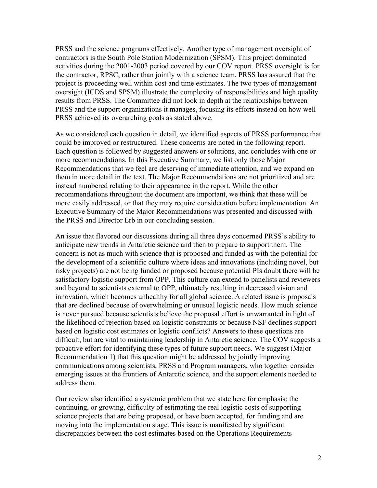PRSS and the science programs effectively. Another type of management oversight of contractors is the South Pole Station Modernization (SPSM). This project dominated activities during the 2001-2003 period covered by our COV report. PRSS oversight is for the contractor, RPSC, rather than jointly with a science team. PRSS has assured that the project is proceeding well within cost and time estimates. The two types of management oversight (ICDS and SPSM) illustrate the complexity of responsibilities and high quality results from PRSS. The Committee did not look in depth at the relationships between PRSS and the support organizations it manages, focusing its efforts instead on how well PRSS achieved its overarching goals as stated above.

As we considered each question in detail, we identified aspects of PRSS performance that could be improved or restructured. These concerns are noted in the following report. Each question is followed by suggested answers or solutions, and concludes with one or more recommendations. In this Executive Summary, we list only those Major Recommendations that we feel are deserving of immediate attention, and we expand on them in more detail in the text. The Major Recommendations are not prioritized and are instead numbered relating to their appearance in the report. While the other recommendations throughout the document are important, we think that these will be more easily addressed, or that they may require consideration before implementation. An Executive Summary of the Major Recommendations was presented and discussed with the PRSS and Director Erb in our concluding session.

An issue that flavored our discussions during all three days concerned PRSS's ability to anticipate new trends in Antarctic science and then to prepare to support them. The concern is not as much with science that is proposed and funded as with the potential for the development of a scientific culture where ideas and innovations (including novel, but risky projects) are not being funded or proposed because potential PIs doubt there will be satisfactory logistic support from OPP. This culture can extend to panelists and reviewers and beyond to scientists external to OPP, ultimately resulting in decreased vision and innovation, which becomes unhealthy for all global science. A related issue is proposals that are declined because of overwhelming or unusual logistic needs. How much science is never pursued because scientists believe the proposal effort is unwarranted in light of the likelihood of rejection based on logistic constraints or because NSF declines support based on logistic cost estimates or logistic conflicts? Answers to these questions are difficult, but are vital to maintaining leadership in Antarctic science. The COV suggests a proactive effort for identifying these types of future support needs. We suggest (Major Recommendation 1) that this question might be addressed by jointly improving communications among scientists, PRSS and Program managers, who together consider emerging issues at the frontiers of Antarctic science, and the support elements needed to address them.

Our review also identified a systemic problem that we state here for emphasis: the continuing, or growing, difficulty of estimating the real logistic costs of supporting science projects that are being proposed, or have been accepted, for funding and are moving into the implementation stage. This issue is manifested by significant discrepancies between the cost estimates based on the Operations Requirements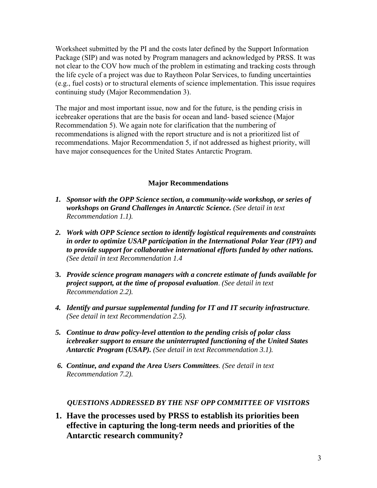Worksheet submitted by the PI and the costs later defined by the Support Information Package (SIP) and was noted by Program managers and acknowledged by PRSS. It was not clear to the COV how much of the problem in estimating and tracking costs through the life cycle of a project was due to Raytheon Polar Services, to funding uncertainties (e.g., fuel costs) or to structural elements of science implementation. This issue requires continuing study (Major Recommendation 3).

The major and most important issue, now and for the future, is the pending crisis in icebreaker operations that are the basis for ocean and land- based science (Major Recommendation 5). We again note for clarification that the numbering of recommendations is aligned with the report structure and is not a prioritized list of recommendations. Major Recommendation 5, if not addressed as highest priority, will have major consequences for the United States Antarctic Program.

## **Major Recommendations**

- *1. Sponsor with the OPP Science section, a community-wide workshop, or series of workshops on Grand Challenges in Antarctic Science. (See detail in text Recommendation 1.1).*
- *2. Work with OPP Science section to identify logistical requirements and constraints in order to optimize USAP participation in the International Polar Year (IPY) and to provide support for collaborative international efforts funded by other nations. (See detail in text Recommendation 1.4*
- **3.** *Provide science program managers with a concrete estimate of funds available for project support, at the time of proposal evaluation*. *(See detail in text Recommendation 2.2).*
- *4. Identify and pursue supplemental funding for IT and IT security infrastructure. (See detail in text Recommendation 2.5).*
- *5. Continue to draw policy-level attention to the pending crisis of polar class icebreaker support to ensure the uninterrupted functioning of the United States Antarctic Program (USAP). (See detail in text Recommendation 3.1).*
- *6. Continue, and expand the Area Users Committees. (See detail in text Recommendation 7.2).*

## *QUESTIONS ADDRESSED BY THE NSF OPP COMMITTEE OF VISITORS*

**1. Have the processes used by PRSS to establish its priorities been effective in capturing the long-term needs and priorities of the Antarctic research community?**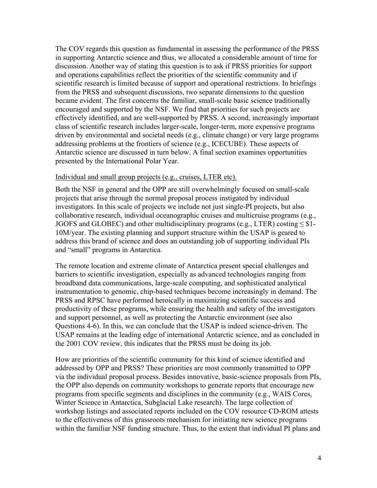The COV regards this question as fundamental in assessing the performance of the PRSS in supporting Antarctic science and thus, we allocated a considerable amount of time for discussion. Another way of stating this question is to ask if PRSS priorities for support and operations capabilities reflect the priorities of the scientific community and if scientific research is limited because of support and operational restrictions. In briefings from the PRSS and subsequent discussions, two separate dimensions to the question became evident. The first concerns the familiar, small-scale basic science traditionally encouraged and supported by the NSF. We find that priorities for such projects are effectively identified, and are well-supported by PRSS. A second, increasingly important class of scientific research includes larger-scale, longer-term, more expensive programs driven by environmental and societal needs (e.g., climate change) or very large programs addressing problems at the frontiers of science (e.g., ICECUBE). These aspects of Antarctic science are discussed in turn below. A final section examines opportunities presented by the International Polar Year.

#### Individual and small group projects (e.g., cruises, LTER etc).

Both the NSF in general and the OPP are still overwhelmingly focused on small-scale projects that arise through the normal proposal process instigated by individual investigators. In this scale of projects we include not just single-PI projects, but also collaborative research, individual oceanographic cruises and multicruise programs (e.g., JGOFS and GLOBEC) and other multidisciplinary programs (e.g., LTER) costing  $\leq$  \$1-10M/year. The existing planning and support structure within the USAP is geared to address this brand of science and does an outstanding job of supporting individual PIs and "small" programs in Antarctica.

The remote location and extreme climate of Antarctica present special challenges and barriers to scientific investigation, especially as advanced technologies ranging from broadband data communications, large-scale computing, and sophisticated analytical instrumentation to genomic, chip-based techniques become increasingly in demand. The PRSS and RPSC have performed heroically in maximizing scientific success and productivity of these programs, while ensuring the health and safety of the investigators and support personnel, as well as protecting the Antarctic environment (see also Questions 4-6). In this, we can conclude that the USAP is indeed science-driven. The USAP remains at the leading edge of international Antarctic science, and as concluded in the 2001 COV review, this indicates that the PRSS must be doing its job.

How are priorities of the scientific community for this kind of science identified and addressed by OPP and PRSS? These priorities are most commonly transmitted to OPP via the individual proposal process. Besides innovative, basic-science proposals from PIs, the OPP also depends on community workshops to generate reports that encourage new programs from specific segments and disciplines in the community (e.g., WAIS Cores, Winter Science in Antarctica, Subglacial Lake research). The large collection of workshop listings and associated reports included on the COV resource CD-ROM attests to the effectiveness of this grassroots mechanism for initiating new science programs within the familiar NSF funding structure. Thus, to the extent that individual PI plans and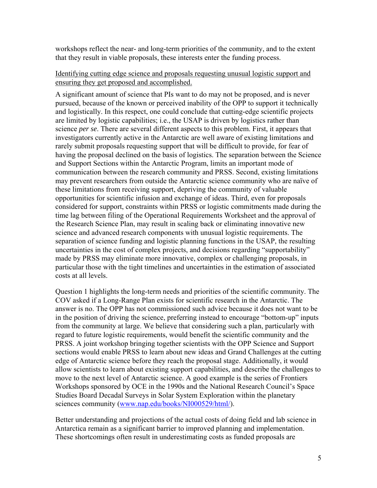workshops reflect the near- and long-term priorities of the community, and to the extent that they result in viable proposals, these interests enter the funding process.

### Identifying cutting edge science and proposals requesting unusual logistic support and ensuring they get proposed and accomplished.

A significant amount of science that PIs want to do may not be proposed, and is never pursued, because of the known or perceived inability of the OPP to support it technically and logistically. In this respect, one could conclude that cutting-edge scientific projects are limited by logistic capabilities; i.e., the USAP is driven by logistics rather than science *per se*. There are several different aspects to this problem. First, it appears that investigators currently active in the Antarctic are well aware of existing limitations and rarely submit proposals requesting support that will be difficult to provide, for fear of having the proposal declined on the basis of logistics. The separation between the Science and Support Sections within the Antarctic Program, limits an important mode of communication between the research community and PRSS. Second, existing limitations may prevent researchers from outside the Antarctic science community who are naïve of these limitations from receiving support, depriving the community of valuable opportunities for scientific infusion and exchange of ideas. Third, even for proposals considered for support, constraints within PRSS or logistic commitments made during the time lag between filing of the Operational Requirements Worksheet and the approval of the Research Science Plan, may result in scaling back or eliminating innovative new science and advanced research components with unusual logistic requirements. The separation of science funding and logistic planning functions in the USAP, the resulting uncertainties in the cost of complex projects, and decisions regarding "supportability" made by PRSS may eliminate more innovative, complex or challenging proposals, in particular those with the tight timelines and uncertainties in the estimation of associated costs at all levels.

Question 1 highlights the long-term needs and priorities of the scientific community. The COV asked if a Long-Range Plan exists for scientific research in the Antarctic. The answer is no. The OPP has not commissioned such advice because it does not want to be in the position of driving the science, preferring instead to encourage "bottom-up" inputs from the community at large. We believe that considering such a plan, particularly with regard to future logistic requirements, would benefit the scientific community and the PRSS. A joint workshop bringing together scientists with the OPP Science and Support sections would enable PRSS to learn about new ideas and Grand Challenges at the cutting edge of Antarctic science before they reach the proposal stage. Additionally, it would allow scientists to learn about existing support capabilities, and describe the challenges to move to the next level of Antarctic science. A good example is the series of Frontiers Workshops sponsored by OCE in the 1990s and the National Research Council's Space Studies Board Decadal Surveys in Solar System Exploration within the planetary sciences community ([www.nap.edu/books/NI000529/html/\)](http://www.nap.edu/books/NI000529/html/).

Better understanding and projections of the actual costs of doing field and lab science in Antarctica remain as a significant barrier to improved planning and implementation. These shortcomings often result in underestimating costs as funded proposals are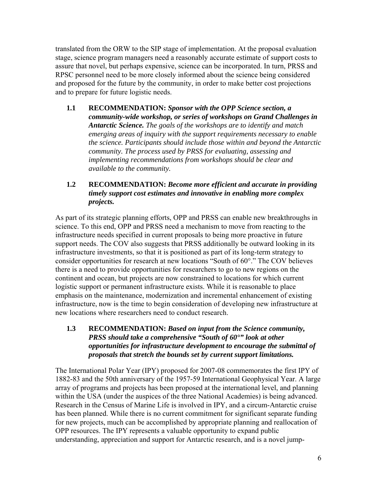translated from the ORW to the SIP stage of implementation. At the proposal evaluation stage, science program managers need a reasonably accurate estimate of support costs to assure that novel, but perhaps expensive, science can be incorporated. In turn, PRSS and RPSC personnel need to be more closely informed about the science being considered and proposed for the future by the community, in order to make better cost projections and to prepare for future logistic needs.

**1.1 RECOMMENDATION:** *Sponsor with the OPP Science section, a community-wide workshop, or series of workshops on Grand Challenges in Antarctic Science. The goals of the workshops are to identify and match emerging areas of inquiry with the support requirements necessary to enable the science. Participants should include those within and beyond the Antarctic community. The process used by PRSS for evaluating, assessing and implementing recommendations from workshops should be clear and available to the community.*

## **1.2 RECOMMENDATION:** *Become more efficient and accurate in providing timely support cost estimates and innovative in enabling more complex projects.*

As part of its strategic planning efforts, OPP and PRSS can enable new breakthroughs in science. To this end, OPP and PRSS need a mechanism to move from reacting to the infrastructure needs specified in current proposals to being more proactive in future support needs. The COV also suggests that PRSS additionally be outward looking in its infrastructure investments, so that it is positioned as part of its long-term strategy to consider opportunities for research at new locations "South of 60°." The COV believes there is a need to provide opportunities for researchers to go to new regions on the continent and ocean, but projects are now constrained to locations for which current logistic support or permanent infrastructure exists. While it is reasonable to place emphasis on the maintenance, modernization and incremental enhancement of existing infrastructure, now is the time to begin consideration of developing new infrastructure at new locations where researchers need to conduct research.

**1.3 RECOMMENDATION:** *Based on input from the Science community, PRSS should take a comprehensive "South of 60°" look at other opportunities for infrastructure development to encourage the submittal of proposals that stretch the bounds set by current support limitations.* 

The International Polar Year (IPY) proposed for 2007-08 commemorates the first IPY of 1882-83 and the 50th anniversary of the 1957-59 International Geophysical Year. A large array of programs and projects has been proposed at the international level, and planning within the USA (under the auspices of the three National Academies) is being advanced. Research in the Census of Marine Life is involved in IPY, and a circum-Antarctic cruise has been planned. While there is no current commitment for significant separate funding for new projects, much can be accomplished by appropriate planning and reallocation of OPP resources. The IPY represents a valuable opportunity to expand public understanding, appreciation and support for Antarctic research, and is a novel jump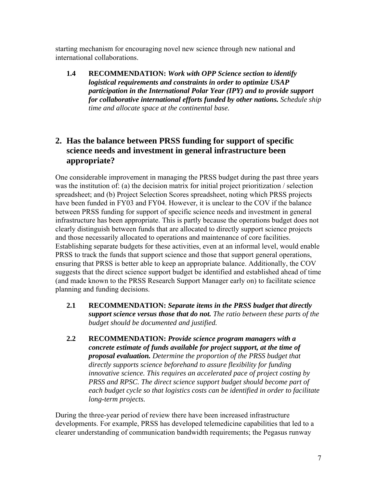starting mechanism for encouraging novel new science through new national and international collaborations.

**1.4 RECOMMENDATION:** *Work with OPP Science section to identify logistical requirements and constraints in order to optimize USAP participation in the International Polar Year (IPY) and to provide support for collaborative international efforts funded by other nations. Schedule ship time and allocate space at the continental base.*

# **2. Has the balance between PRSS funding for support of specific science needs and investment in general infrastructure been appropriate?**

One considerable improvement in managing the PRSS budget during the past three years was the institution of: (a) the decision matrix for initial project prioritization / selection spreadsheet; and (b) Project Selection Scores spreadsheet, noting which PRSS projects have been funded in FY03 and FY04. However, it is unclear to the COV if the balance between PRSS funding for support of specific science needs and investment in general infrastructure has been appropriate. This is partly because the operations budget does not clearly distinguish between funds that are allocated to directly support science projects and those necessarily allocated to operations and maintenance of core facilities. Establishing separate budgets for these activities, even at an informal level, would enable PRSS to track the funds that support science and those that support general operations, ensuring that PRSS is better able to keep an appropriate balance. Additionally, the COV suggests that the direct science support budget be identified and established ahead of time (and made known to the PRSS Research Support Manager early on) to facilitate science planning and funding decisions.

- **2.1 RECOMMENDATION:** *Separate items in the PRSS budget that directly support science versus those that do not. The ratio between these parts of the budget should be documented and justified.*
- **2.2 RECOMMENDATION:** *Provide science program managers with a concrete estimate of funds available for project support, at the time of proposal evaluation. Determine the proportion of the PRSS budget that directly supports science beforehand to assure flexibility for funding innovative science. This requires an accelerated pace of project costing by PRSS and RPSC. The direct science support budget should become part of each budget cycle so that logistics costs can be identified in order to facilitate long-term projects.*

During the three-year period of review there have been increased infrastructure developments. For example, PRSS has developed telemedicine capabilities that led to a clearer understanding of communication bandwidth requirements; the Pegasus runway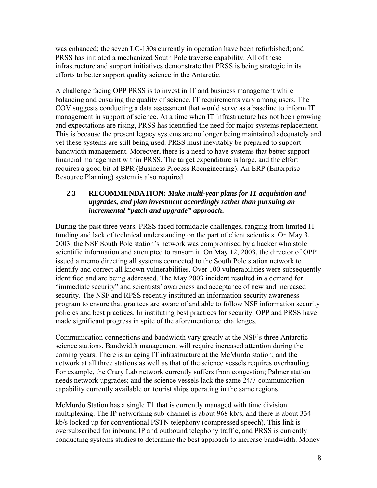was enhanced; the seven LC-130s currently in operation have been refurbished; and PRSS has initiated a mechanized South Pole traverse capability. All of these infrastructure and support initiatives demonstrate that PRSS is being strategic in its efforts to better support quality science in the Antarctic.

A challenge facing OPP PRSS is to invest in IT and business management while balancing and ensuring the quality of science. IT requirements vary among users. The COV suggests conducting a data assessment that would serve as a baseline to inform IT management in support of science. At a time when IT infrastructure has not been growing and expectations are rising, PRSS has identified the need for major systems replacement. This is because the present legacy systems are no longer being maintained adequately and yet these systems are still being used. PRSS must inevitably be prepared to support bandwidth management. Moreover, there is a need to have systems that better support financial management within PRSS. The target expenditure is large, and the effort requires a good bit of BPR (Business Process Reengineering). An ERP (Enterprise Resource Planning) system is also required.

## **2.3 RECOMMENDATION:** *Make multi-year plans for IT acquisition and upgrades, and plan investment accordingly rather than pursuing an incremental "patch and upgrade" approach***.**

During the past three years, PRSS faced formidable challenges, ranging from limited IT funding and lack of technical understanding on the part of client scientists. On May 3, 2003, the NSF South Pole station's network was compromised by a hacker who stole scientific information and attempted to ransom it. On May 12, 2003, the director of OPP issued a memo directing all systems connected to the South Pole station network to identify and correct all known vulnerabilities. Over 100 vulnerabilities were subsequently identified and are being addressed. The May 2003 incident resulted in a demand for "immediate security" and scientists' awareness and acceptance of new and increased security. The NSF and RPSS recently instituted an information security awareness program to ensure that grantees are aware of and able to follow NSF information security policies and best practices. In instituting best practices for security, OPP and PRSS have made significant progress in spite of the aforementioned challenges.

Communication connections and bandwidth vary greatly at the NSF's three Antarctic science stations. Bandwidth management will require increased attention during the coming years. There is an aging IT infrastructure at the McMurdo station; and the network at all three stations as well as that of the science vessels requires overhauling. For example, the Crary Lab network currently suffers from congestion; Palmer station needs network upgrades; and the science vessels lack the same 24/7-communication capability currently available on tourist ships operating in the same regions.

McMurdo Station has a single T1 that is currently managed with time division multiplexing. The IP networking sub-channel is about 968 kb/s, and there is about 334 kb/s locked up for conventional PSTN telephony (compressed speech). This link is oversubscribed for inbound IP and outbound telephony traffic, and PRSS is currently conducting systems studies to determine the best approach to increase bandwidth. Money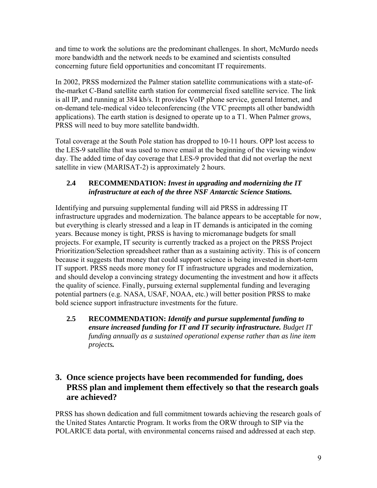and time to work the solutions are the predominant challenges. In short, McMurdo needs more bandwidth and the network needs to be examined and scientists consulted concerning future field opportunities and concomitant IT requirements.

In 2002, PRSS modernized the Palmer station satellite communications with a state-ofthe-market C-Band satellite earth station for commercial fixed satellite service. The link is all IP, and running at 384 kb/s. It provides VoIP phone service, general Internet, and on-demand tele-medical video teleconferencing (the VTC preempts all other bandwidth applications). The earth station is designed to operate up to a T1. When Palmer grows, PRSS will need to buy more satellite bandwidth.

Total coverage at the South Pole station has dropped to 10-11 hours. OPP lost access to the LES-9 satellite that was used to move email at the beginning of the viewing window day. The added time of day coverage that LES-9 provided that did not overlap the next satellite in view (MARISAT-2) is approximately 2 hours.

# **2.4 RECOMMENDATION:** *Invest in upgrading and modernizing the IT infrastructure at each of the three NSF Antarctic Science Stations.*

Identifying and pursuing supplemental funding will aid PRSS in addressing IT infrastructure upgrades and modernization. The balance appears to be acceptable for now, but everything is clearly stressed and a leap in IT demands is anticipated in the coming years. Because money is tight, PRSS is having to micromanage budgets for small projects. For example, IT security is currently tracked as a project on the PRSS Project Prioritization/Selection spreadsheet rather than as a sustaining activity. This is of concern because it suggests that money that could support science is being invested in short-term IT support. PRSS needs more money for IT infrastructure upgrades and modernization, and should develop a convincing strategy documenting the investment and how it affects the quality of science. Finally, pursuing external supplemental funding and leveraging potential partners (e.g. NASA, USAF, NOAA, etc.) will better position PRSS to make bold science support infrastructure investments for the future.

**2.5 RECOMMENDATION:** *Identify and pursue supplemental funding to ensure increased funding for IT and IT security infrastructure. Budget IT funding annually as a sustained operational expense rather than as line item projects.* 

# **3. Once science projects have been recommended for funding, does PRSS plan and implement them effectively so that the research goals are achieved?**

PRSS has shown dedication and full commitment towards achieving the research goals of the United States Antarctic Program. It works from the ORW through to SIP via the POLARICE data portal, with environmental concerns raised and addressed at each step.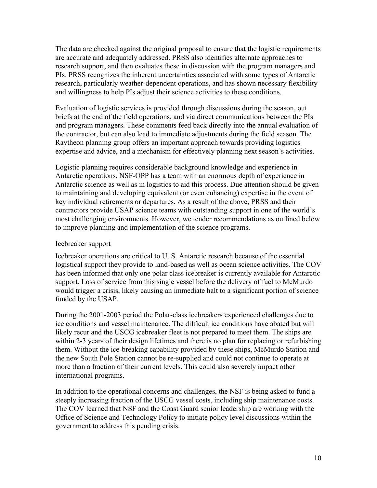The data are checked against the original proposal to ensure that the logistic requirements are accurate and adequately addressed. PRSS also identifies alternate approaches to research support, and then evaluates these in discussion with the program managers and PIs. PRSS recognizes the inherent uncertainties associated with some types of Antarctic research, particularly weather-dependent operations, and has shown necessary flexibility and willingness to help PIs adjust their science activities to these conditions.

Evaluation of logistic services is provided through discussions during the season, out briefs at the end of the field operations, and via direct communications between the PIs and program managers. These comments feed back directly into the annual evaluation of the contractor, but can also lead to immediate adjustments during the field season. The Raytheon planning group offers an important approach towards providing logistics expertise and advice, and a mechanism for effectively planning next season's activities.

Logistic planning requires considerable background knowledge and experience in Antarctic operations. NSF-OPP has a team with an enormous depth of experience in Antarctic science as well as in logistics to aid this process. Due attention should be given to maintaining and developing equivalent (or even enhancing) expertise in the event of key individual retirements or departures. As a result of the above, PRSS and their contractors provide USAP science teams with outstanding support in one of the world's most challenging environments. However, we tender recommendations as outlined below to improve planning and implementation of the science programs.

#### Icebreaker support

Icebreaker operations are critical to U. S. Antarctic research because of the essential logistical support they provide to land-based as well as ocean science activities. The COV has been informed that only one polar class icebreaker is currently available for Antarctic support. Loss of service from this single vessel before the delivery of fuel to McMurdo would trigger a crisis, likely causing an immediate halt to a significant portion of science funded by the USAP.

During the 2001-2003 period the Polar-class icebreakers experienced challenges due to ice conditions and vessel maintenance. The difficult ice conditions have abated but will likely recur and the USCG icebreaker fleet is not prepared to meet them. The ships are within 2-3 years of their design lifetimes and there is no plan for replacing or refurbishing them. Without the ice-breaking capability provided by these ships, McMurdo Station and the new South Pole Station cannot be re-supplied and could not continue to operate at more than a fraction of their current levels. This could also severely impact other international programs.

In addition to the operational concerns and challenges, the NSF is being asked to fund a steeply increasing fraction of the USCG vessel costs, including ship maintenance costs. The COV learned that NSF and the Coast Guard senior leadership are working with the Office of Science and Technology Policy to initiate policy level discussions within the government to address this pending crisis.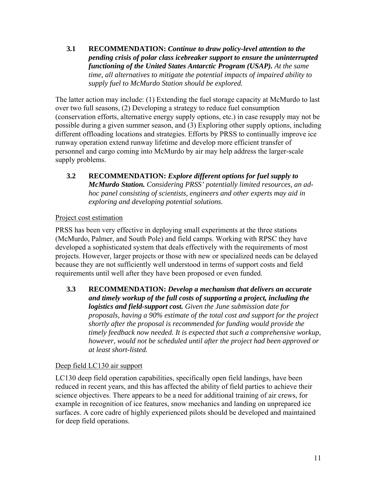**3.1 RECOMMENDATION:** *Continue to draw policy-level attention to the pending crisis of polar class icebreaker support to ensure the uninterrupted functioning of the United States Antarctic Program (USAP). At the same time, all alternatives to mitigate the potential impacts of impaired ability to supply fuel to McMurdo Station should be explored.*

The latter action may include: (1) Extending the fuel storage capacity at McMurdo to last over two full seasons, (2) Developing a strategy to reduce fuel consumption (conservation efforts, alternative energy supply options, etc.) in case resupply may not be possible during a given summer season, and (3) Exploring other supply options, including different offloading locations and strategies. Efforts by PRSS to continually improve ice runway operation extend runway lifetime and develop more efficient transfer of personnel and cargo coming into McMurdo by air may help address the larger-scale supply problems.

**3.2 RECOMMENDATION:** *Explore different options for fuel supply to McMurdo Station. Considering PRSS' potentially limited resources, an adhoc panel consisting of scientists, engineers and other experts may aid in exploring and developing potential solutions.* 

# Project cost estimation

PRSS has been very effective in deploying small experiments at the three stations (McMurdo, Palmer, and South Pole) and field camps. Working with RPSC they have developed a sophisticated system that deals effectively with the requirements of most projects. However, larger projects or those with new or specialized needs can be delayed because they are not sufficiently well understood in terms of support costs and field requirements until well after they have been proposed or even funded.

**3.3 RECOMMENDATION:** *Develop a mechanism that delivers an accurate and timely workup of the full costs of supporting a project, including the logistics and field-support cost. Given the June submission date for proposals, having a 90% estimate of the total cost and support for the project shortly after the proposal is recommended for funding would provide the timely feedback now needed. It is expected that such a comprehensive workup, however, would not be scheduled until after the project had been approved or at least short-listed.* 

# Deep field LC130 air support

LC130 deep field operation capabilities, specifically open field landings, have been reduced in recent years, and this has affected the ability of field parties to achieve their science objectives. There appears to be a need for additional training of air crews, for example in recognition of ice features, snow mechanics and landing on unprepared ice surfaces. A core cadre of highly experienced pilots should be developed and maintained for deep field operations.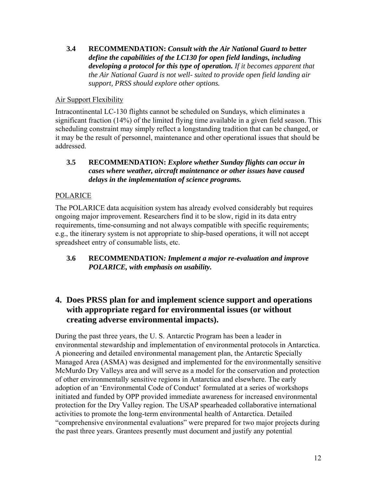**3.4 RECOMMENDATION:** *Consult with the Air National Guard to better define the capabilities of the LC130 for open field landings, including developing a protocol for this type of operation. If it becomes apparent that the Air National Guard is not well- suited to provide open field landing air support, PRSS should explore other options.* 

# Air Support Flexibility

Intracontinental LC-130 flights cannot be scheduled on Sundays, which eliminates a significant fraction (14%) of the limited flying time available in a given field season. This scheduling constraint may simply reflect a longstanding tradition that can be changed, or it may be the result of personnel, maintenance and other operational issues that should be addressed.

## **3.5 RECOMMENDATION:** *Explore whether Sunday flights can occur in cases where weather, aircraft maintenance or other issues have caused delays in the implementation of science programs.*

## POLARICE

The POLARICE data acquisition system has already evolved considerably but requires ongoing major improvement. Researchers find it to be slow, rigid in its data entry requirements, time-consuming and not always compatible with specific requirements; e.g., the itinerary system is not appropriate to ship-based operations, it will not accept spreadsheet entry of consumable lists, etc.

**3.6 RECOMMENDATION***: Implement a major re-evaluation and improve POLARICE, with emphasis on usability.* 

# **4. Does PRSS plan for and implement science support and operations with appropriate regard for environmental issues (or without creating adverse environmental impacts).**

During the past three years, the U. S. Antarctic Program has been a leader in environmental stewardship and implementation of environmental protocols in Antarctica. A pioneering and detailed environmental management plan, the Antarctic Specially Managed Area (ASMA) was designed and implemented for the environmentally sensitive McMurdo Dry Valleys area and will serve as a model for the conservation and protection of other environmentally sensitive regions in Antarctica and elsewhere. The early adoption of an 'Environmental Code of Conduct' formulated at a series of workshops initiated and funded by OPP provided immediate awareness for increased environmental protection for the Dry Valley region. The USAP spearheaded collaborative international activities to promote the long-term environmental health of Antarctica. Detailed "comprehensive environmental evaluations" were prepared for two major projects during the past three years. Grantees presently must document and justify any potential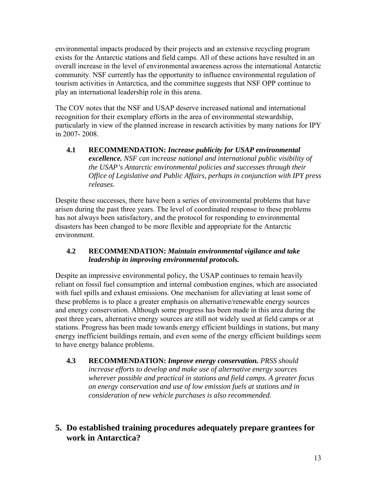environmental impacts produced by their projects and an extensive recycling program exists for the Antarctic stations and field camps. All of these actions have resulted in an overall increase in the level of environmental awareness across the international Antarctic community. NSF currently has the opportunity to influence environmental regulation of tourism activities in Antarctica, and the committee suggests that NSF OPP continue to play an international leadership role in this arena.

The COV notes that the NSF and USAP deserve increased national and international recognition for their exemplary efforts in the area of environmental stewardship, particularly in view of the planned increase in research activities by many nations for IPY in 2007- 2008.

**4.1 RECOMMENDATION:** *Increase publicity for USAP environmental excellence. NSF can increase national and international public visibility of the USAP's Antarctic environmental policies and successes through their Office of Legislative and Public Affairs, perhaps in conjunction with IPY press releases.* 

Despite these successes, there have been a series of environmental problems that have arisen during the past three years. The level of coordinated response to these problems has not always been satisfactory, and the protocol for responding to environmental disasters has been changed to be more flexible and appropriate for the Antarctic environment.

## **4.2 RECOMMENDATION:** *Maintain environmental vigilance and take leadership in improving environmental protocols.*

Despite an impressive environmental policy, the USAP continues to remain heavily reliant on fossil fuel consumption and internal combustion engines, which are associated with fuel spills and exhaust emissions. One mechanism for alleviating at least some of these problems is to place a greater emphasis on alternative/renewable energy sources and energy conservation. Although some progress has been made in this area during the past three years, alternative energy sources are still not widely used at field camps or at stations. Progress has been made towards energy efficient buildings in stations, but many energy inefficient buildings remain, and even some of the energy efficient buildings seem to have energy balance problems.

- **4.3 RECOMMENDATION:** *Improve energy conservation. PRSS should increase efforts to develop and make use of alternative energy sources wherever possible and practical in stations and field camps. A greater focus on energy conservation and use of low emission fuels at stations and in consideration of new vehicle purchases is also recommended.*
- **5. Do established training procedures adequately prepare grantees for work in Antarctica?**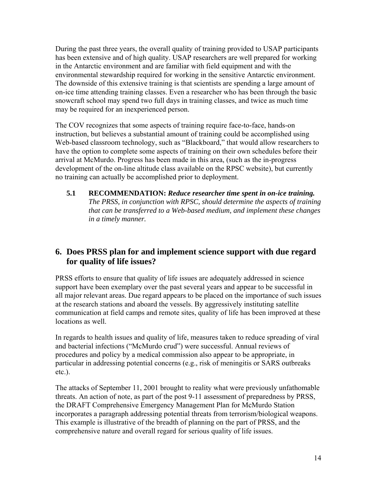During the past three years, the overall quality of training provided to USAP participants has been extensive and of high quality. USAP researchers are well prepared for working in the Antarctic environment and are familiar with field equipment and with the environmental stewardship required for working in the sensitive Antarctic environment. The downside of this extensive training is that scientists are spending a large amount of on-ice time attending training classes. Even a researcher who has been through the basic snowcraft school may spend two full days in training classes, and twice as much time may be required for an inexperienced person.

The COV recognizes that some aspects of training require face-to-face, hands-on instruction, but believes a substantial amount of training could be accomplished using Web-based classroom technology, such as "Blackboard," that would allow researchers to have the option to complete some aspects of training on their own schedules before their arrival at McMurdo. Progress has been made in this area, (such as the in-progress development of the on-line altitude class available on the RPSC website), but currently no training can actually be accomplished prior to deployment.

**5.1 RECOMMENDATION:** *Reduce researcher time spent in on-ice training. The PRSS, in conjunction with RPSC, should determine the aspects of training that can be transferred to a Web-based medium, and implement these changes in a timely manner.* 

# **6. Does PRSS plan for and implement science support with due regard for quality of life issues?**

PRSS efforts to ensure that quality of life issues are adequately addressed in science support have been exemplary over the past several years and appear to be successful in all major relevant areas. Due regard appears to be placed on the importance of such issues at the research stations and aboard the vessels. By aggressively instituting satellite communication at field camps and remote sites, quality of life has been improved at these locations as well.

In regards to health issues and quality of life, measures taken to reduce spreading of viral and bacterial infections ("McMurdo crud") were successful. Annual reviews of procedures and policy by a medical commission also appear to be appropriate, in particular in addressing potential concerns (e.g., risk of meningitis or SARS outbreaks etc.).

The attacks of September 11, 2001 brought to reality what were previously unfathomable threats. An action of note, as part of the post 9-11 assessment of preparedness by PRSS, the DRAFT Comprehensive Emergency Management Plan for McMurdo Station incorporates a paragraph addressing potential threats from terrorism/biological weapons. This example is illustrative of the breadth of planning on the part of PRSS, and the comprehensive nature and overall regard for serious quality of life issues.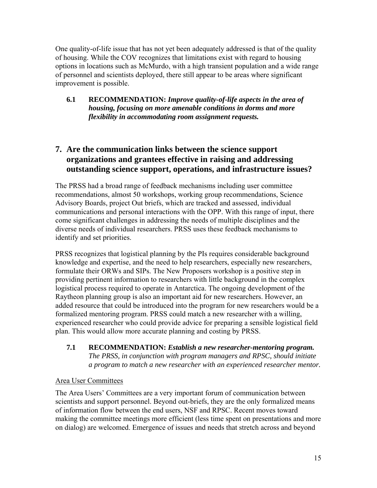One quality-of-life issue that has not yet been adequately addressed is that of the quality of housing. While the COV recognizes that limitations exist with regard to housing options in locations such as McMurdo, with a high transient population and a wide range of personnel and scientists deployed, there still appear to be areas where significant improvement is possible.

## **6.1 RECOMMENDATION:** *Improve quality-of-life aspects in the area of housing, focusing on more amenable conditions in dorms and more flexibility in accommodating room assignment requests.*

# **7. Are the communication links between the science support organizations and grantees effective in raising and addressing outstanding science support, operations, and infrastructure issues?**

The PRSS had a broad range of feedback mechanisms including user committee recommendations, almost 50 workshops, working group recommendations, Science Advisory Boards, project Out briefs, which are tracked and assessed, individual communications and personal interactions with the OPP. With this range of input, there come significant challenges in addressing the needs of multiple disciplines and the diverse needs of individual researchers. PRSS uses these feedback mechanisms to identify and set priorities.

PRSS recognizes that logistical planning by the PIs requires considerable background knowledge and expertise, and the need to help researchers, especially new researchers, formulate their ORWs and SIPs. The New Proposers workshop is a positive step in providing pertinent information to researchers with little background in the complex logistical process required to operate in Antarctica. The ongoing development of the Raytheon planning group is also an important aid for new researchers. However, an added resource that could be introduced into the program for new researchers would be a formalized mentoring program. PRSS could match a new researcher with a willing, experienced researcher who could provide advice for preparing a sensible logistical field plan. This would allow more accurate planning and costing by PRSS.

## **7.1 RECOMMENDATION:** *Establish a new researcher-mentoring program. The PRSS, in conjunction with program managers and RPSC, should initiate a program to match a new researcher with an experienced researcher mentor.*

## Area User Committees

The Area Users' Committees are a very important forum of communication between scientists and support personnel. Beyond out-briefs, they are the only formalized means of information flow between the end users, NSF and RPSC. Recent moves toward making the committee meetings more efficient (less time spent on presentations and more on dialog) are welcomed. Emergence of issues and needs that stretch across and beyond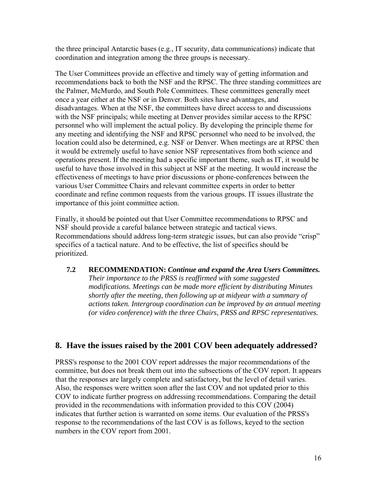the three principal Antarctic bases (e.g., IT security, data communications) indicate that coordination and integration among the three groups is necessary.

The User Committees provide an effective and timely way of getting information and recommendations back to both the NSF and the RPSC. The three standing committees are the Palmer, McMurdo, and South Pole Committees. These committees generally meet once a year either at the NSF or in Denver. Both sites have advantages, and disadvantages. When at the NSF, the committees have direct access to and discussions with the NSF principals; while meeting at Denver provides similar access to the RPSC personnel who will implement the actual policy. By developing the principle theme for any meeting and identifying the NSF and RPSC personnel who need to be involved, the location could also be determined, e.g. NSF or Denver. When meetings are at RPSC then it would be extremely useful to have senior NSF representatives from both science and operations present. If the meeting had a specific important theme, such as IT, it would be useful to have those involved in this subject at NSF at the meeting. It would increase the effectiveness of meetings to have prior discussions or phone-conferences between the various User Committee Chairs and relevant committee experts in order to better coordinate and refine common requests from the various groups. IT issues illustrate the importance of this joint committee action.

Finally, it should be pointed out that User Committee recommendations to RPSC and NSF should provide a careful balance between strategic and tactical views. Recommendations should address long-term strategic issues, but can also provide "crisp" specifics of a tactical nature. And to be effective, the list of specifics should be prioritized.

**7.2 RECOMMENDATION:** *Continue and expand the Area Users Committees. Their importance to the PRSS is reaffirmed with some suggested modifications. Meetings can be made more efficient by distributing Minutes shortly after the meeting, then following up at midyear with a summary of actions taken. Intergroup coordination can be improved by an annual meeting (or video conference) with the three Chairs, PRSS and RPSC representatives.* 

# **8. Have the issues raised by the 2001 COV been adequately addressed?**

PRSS's response to the 2001 COV report addresses the major recommendations of the committee, but does not break them out into the subsections of the COV report. It appears that the responses are largely complete and satisfactory, but the level of detail varies. Also, the responses were written soon after the last COV and not updated prior to this COV to indicate further progress on addressing recommendations. Comparing the detail provided in the recommendations with information provided to this COV (2004) indicates that further action is warranted on some items. Our evaluation of the PRSS's response to the recommendations of the last COV is as follows, keyed to the section numbers in the COV report from 2001.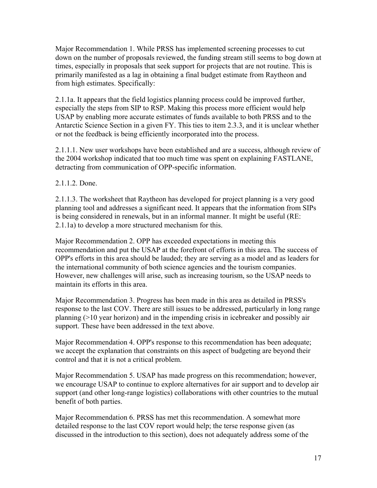Major Recommendation 1. While PRSS has implemented screening processes to cut down on the number of proposals reviewed, the funding stream still seems to bog down at times, especially in proposals that seek support for projects that are not routine. This is primarily manifested as a lag in obtaining a final budget estimate from Raytheon and from high estimates. Specifically:

2.1.1a. It appears that the field logistics planning process could be improved further, especially the steps from SIP to RSP. Making this process more efficient would help USAP by enabling more accurate estimates of funds available to both PRSS and to the Antarctic Science Section in a given FY. This ties to item 2.3.3, and it is unclear whether or not the feedback is being efficiently incorporated into the process.

2.1.1.1. New user workshops have been established and are a success, although review of the 2004 workshop indicated that too much time was spent on explaining FASTLANE, detracting from communication of OPP-specific information.

2.1.1.2. Done.

2.1.1.3. The worksheet that Raytheon has developed for project planning is a very good planning tool and addresses a significant need. It appears that the information from SIPs is being considered in renewals, but in an informal manner. It might be useful (RE: 2.1.1a) to develop a more structured mechanism for this.

Major Recommendation 2. OPP has exceeded expectations in meeting this recommendation and put the USAP at the forefront of efforts in this area. The success of OPP's efforts in this area should be lauded; they are serving as a model and as leaders for the international community of both science agencies and the tourism companies. However, new challenges will arise, such as increasing tourism, so the USAP needs to maintain its efforts in this area.

Major Recommendation 3. Progress has been made in this area as detailed in PRSS's response to the last COV. There are still issues to be addressed, particularly in long range planning (>10 year horizon) and in the impending crisis in icebreaker and possibly air support. These have been addressed in the text above.

Major Recommendation 4. OPP's response to this recommendation has been adequate; we accept the explanation that constraints on this aspect of budgeting are beyond their control and that it is not a critical problem.

Major Recommendation 5. USAP has made progress on this recommendation; however, we encourage USAP to continue to explore alternatives for air support and to develop air support (and other long-range logistics) collaborations with other countries to the mutual benefit of both parties.

Major Recommendation 6. PRSS has met this recommendation. A somewhat more detailed response to the last COV report would help; the terse response given (as discussed in the introduction to this section), does not adequately address some of the